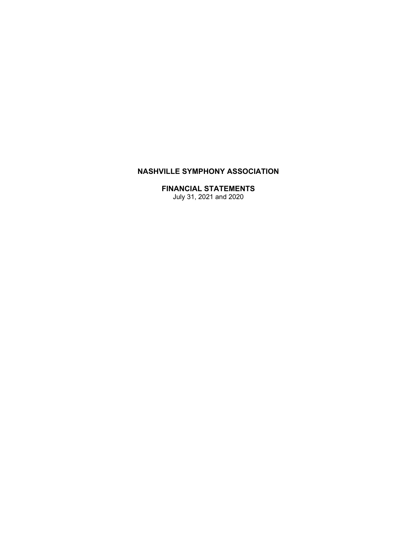# **NASHVILLE SYMPHONY ASSOCIATION**

### **FINANCIAL STATEMENTS**

July 31, 2021 and 2020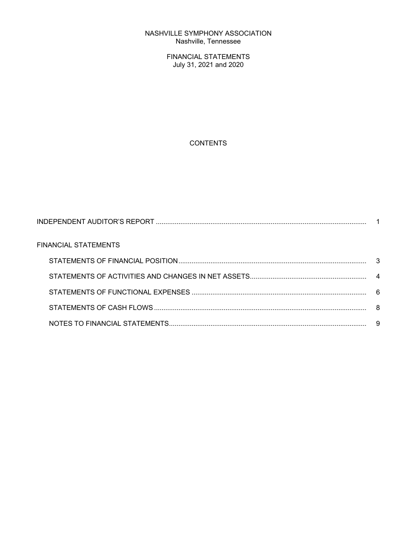#### NASHVILLE SYMPHONY ASSOCIATION Nashville, Tennessee

FINANCIAL STATEMENTS July 31, 2021 and 2020

# **CONTENTS**

| FINANCIAL STATEMENTS |  |
|----------------------|--|
|                      |  |
|                      |  |
|                      |  |
|                      |  |
|                      |  |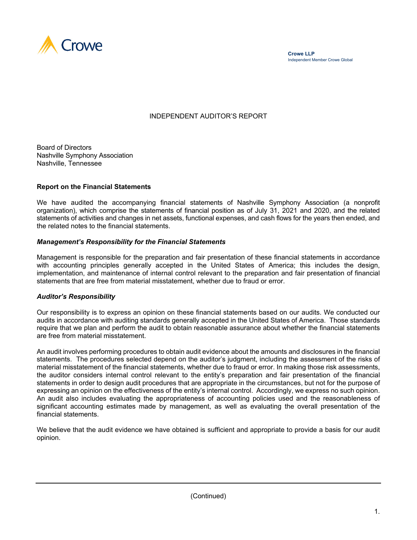

### INDEPENDENT AUDITOR'S REPORT

Board of Directors Nashville Symphony Association Nashville, Tennessee

#### **Report on the Financial Statements**

We have audited the accompanying financial statements of Nashville Symphony Association (a nonprofit organization), which comprise the statements of financial position as of July 31, 2021 and 2020, and the related statements of activities and changes in net assets, functional expenses, and cash flows for the years then ended, and the related notes to the financial statements.

#### *Management's Responsibility for the Financial Statements*

Management is responsible for the preparation and fair presentation of these financial statements in accordance with accounting principles generally accepted in the United States of America; this includes the design, implementation, and maintenance of internal control relevant to the preparation and fair presentation of financial statements that are free from material misstatement, whether due to fraud or error.

#### *Auditor's Responsibility*

Our responsibility is to express an opinion on these financial statements based on our audits. We conducted our audits in accordance with auditing standards generally accepted in the United States of America. Those standards require that we plan and perform the audit to obtain reasonable assurance about whether the financial statements are free from material misstatement.

An audit involves performing procedures to obtain audit evidence about the amounts and disclosures in the financial statements. The procedures selected depend on the auditor's judgment, including the assessment of the risks of material misstatement of the financial statements, whether due to fraud or error. In making those risk assessments, the auditor considers internal control relevant to the entity's preparation and fair presentation of the financial statements in order to design audit procedures that are appropriate in the circumstances, but not for the purpose of expressing an opinion on the effectiveness of the entity's internal control. Accordingly, we express no such opinion. An audit also includes evaluating the appropriateness of accounting policies used and the reasonableness of significant accounting estimates made by management, as well as evaluating the overall presentation of the financial statements.

We believe that the audit evidence we have obtained is sufficient and appropriate to provide a basis for our audit opinion.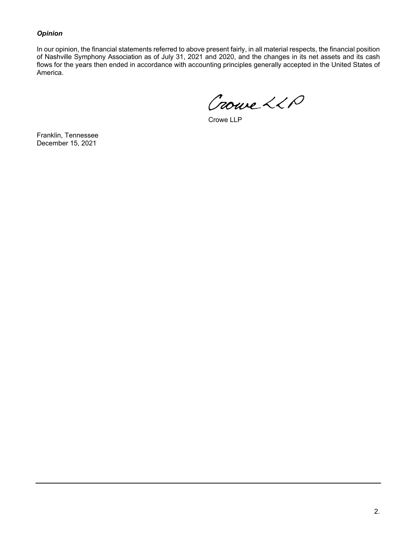### *Opinion*

In our opinion, the financial statements referred to above present fairly, in all material respects, the financial position of Nashville Symphony Association as of July 31, 2021 and 2020, and the changes in its net assets and its cash flows for the years then ended in accordance with accounting principles generally accepted in the United States of America.

Crowe LLP

Crowe LLP

Franklin, Tennessee December 15, 2021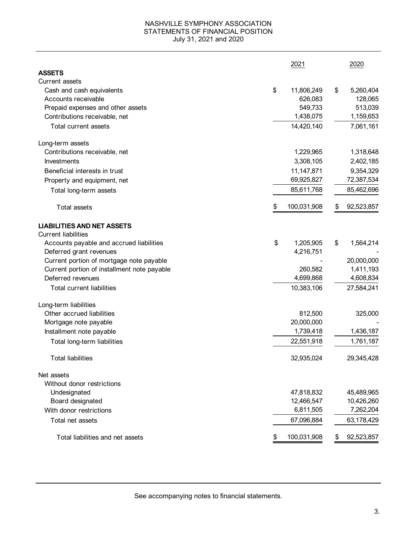#### NASHVILLE SYMPHONY ASSOCIATION STATEMENTS OF FINANCIAL POSITION July 31, 2021 and 2020

|                                             | 2021              |    | 2020       |
|---------------------------------------------|-------------------|----|------------|
| <b>ASSETS</b>                               |                   |    |            |
| <b>Current assets</b>                       |                   |    |            |
| Cash and cash equivalents                   | \$<br>11,806,249  | \$ | 5,260,404  |
| Accounts receivable                         | 626,083           |    | 128,065    |
| Prepaid expenses and other assets           | 549,733           |    | 513,039    |
| Contributions receivable, net               | 1,438,075         |    | 1,159,653  |
| <b>Total current assets</b>                 | 14,420,140        |    | 7,061,161  |
| Long-term assets                            |                   |    |            |
| Contributions receivable, net               | 1,229,965         |    | 1,318,648  |
| <b>Investments</b>                          | 3,308,105         |    | 2,402,185  |
| Beneficial interests in trust               | 11,147,871        |    | 9,354,329  |
| Property and equipment, net                 | 69,925,827        |    | 72,387,534 |
| Total long-term assets                      | 85,611,768        |    | 85,462,696 |
| <b>Total assets</b>                         | \$<br>100,031,908 | \$ | 92,523,857 |
| <b>LIABILITIES AND NET ASSETS</b>           |                   |    |            |
| <b>Current liabilities</b>                  |                   |    |            |
| Accounts payable and accrued liabilities    | \$<br>1,205,905   | \$ | 1,564,214  |
| Deferred grant revenues                     | 4,216,751         |    |            |
| Current portion of mortgage note payable    |                   |    | 20,000,000 |
| Current portion of installment note payable | 260,582           |    | 1,411,193  |
| Deferred revenues                           | 4,699,868         |    | 4,608,834  |
| <b>Total current liabilities</b>            | 10,383,106        |    | 27,584,241 |
| Long-term liabilities                       |                   |    |            |
| Other accrued liabilities                   | 812,500           |    | 325,000    |
| Mortgage note payable                       | 20,000,000        |    |            |
| Installment note payable                    | 1,739,418         |    | 1,436,187  |
| Total long-term liabilities                 | 22,551,918        |    | 1,761,187  |
| <b>Total liabilities</b>                    | 32,935,024        |    | 29,345,428 |
| Net assets                                  |                   |    |            |
| Without donor restrictions                  |                   |    |            |
| Undesignated                                | 47,818,832        |    | 45,489,965 |
| Board designated                            | 12,466,547        |    | 10,426,260 |
| With donor restrictions                     | 6,811,505         |    | 7,262,204  |
| Total net assets                            | 67,096,884        |    | 63,178,429 |
| Total liabilities and net assets            | 100,031,908       | P. | 92,523,857 |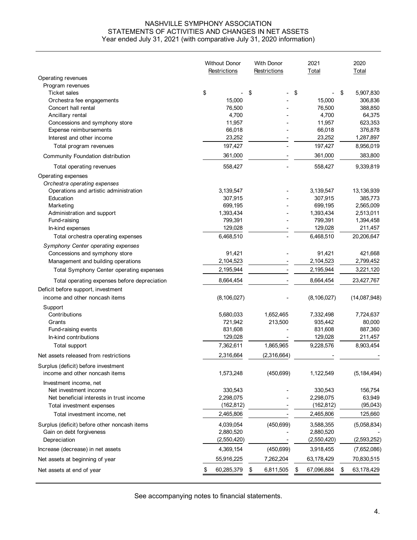#### NASHVILLE SYMPHONY ASSOCIATION STATEMENTS OF ACTIVITIES AND CHANGES IN NET ASSETS Year ended July 31, 2021 (with comparative July 31, 2020 information)

|                                              | <b>Without Donor</b><br>Restrictions | <b>With Donor</b><br>Restrictions | 2021<br>Total    | 2020<br>Total    |
|----------------------------------------------|--------------------------------------|-----------------------------------|------------------|------------------|
| Operating revenues                           |                                      |                                   |                  |                  |
| Program revenues                             |                                      |                                   |                  |                  |
| <b>Ticket sales</b>                          | \$                                   | \$                                | \$               | \$<br>5,907,830  |
| Orchestra fee engagements                    | 15,000                               |                                   | 15,000           | 306,836          |
| Concert hall rental                          | 76,500                               |                                   | 76,500           | 388,850          |
| Ancillary rental                             | 4,700                                |                                   | 4,700            | 64,375           |
| Concessions and symphony store               | 11,957                               |                                   | 11,957           | 623,353          |
| Expense reimbursements                       | 66,018                               |                                   | 66,018           | 376,878          |
| Interest and other income                    | 23,252                               |                                   | 23,252           | 1,287,897        |
| Total program revenues                       | 197,427                              |                                   | 197,427          | 8,956,019        |
| Community Foundation distribution            | 361,000                              |                                   | 361,000          | 383,800          |
| Total operating revenues                     | 558,427                              |                                   | 558,427          | 9,339,819        |
| Operating expenses                           |                                      |                                   |                  |                  |
| Orchestra operating expenses                 |                                      |                                   |                  |                  |
| Operations and artistic administration       | 3,139,547                            |                                   | 3,139,547        | 13,136,939       |
| Education                                    | 307,915                              |                                   | 307,915          | 385,773          |
| Marketing                                    | 699,195                              |                                   | 699,195          | 2,565,009        |
| Administration and support                   | 1,393,434                            |                                   | 1,393,434        | 2,513,011        |
| Fund-raising                                 | 799,391                              |                                   | 799,391          | 1,394,458        |
| In-kind expenses                             | 129,028                              |                                   | 129,028          | 211,457          |
| Total orchestra operating expenses           | 6,468,510                            |                                   | 6,468,510        | 20,206,647       |
| Symphony Center operating expenses           |                                      |                                   |                  |                  |
| Concessions and symphony store               | 91,421                               |                                   | 91,421           | 421,668          |
| Management and building operations           | 2,104,523                            |                                   | 2,104,523        | 2,799,452        |
| Total Symphony Center operating expenses     | 2,195,944                            |                                   | 2,195,944        | 3,221,120        |
| Total operating expenses before depreciation | 8,664,454                            |                                   | 8,664,454        | 23,427,767       |
| Deficit before support, investment           |                                      |                                   |                  |                  |
| income and other noncash items               | (8, 106, 027)                        |                                   | (8, 106, 027)    | (14,087,948)     |
| Support                                      |                                      |                                   |                  |                  |
| Contributions                                | 5,680,033                            | 1,652,465                         | 7,332,498        | 7,724,637        |
| Grants                                       | 721,942                              | 213,500                           | 935,442          | 80,000           |
| Fund-raising events                          | 831,608                              |                                   | 831,608          | 887,360          |
| In-kind contributions                        | 129,028                              |                                   | 129,028          | 211,457          |
| Total support                                | 7,362,611                            | 1,865,965                         | 9,228,576        | 8,903,454        |
| Net assets released from restrictions        | 2,316,664                            | (2,316,664)                       |                  |                  |
| Surplus (deficit) before investment          |                                      |                                   |                  |                  |
| income and other noncash items               | 1,573,248                            | (450, 699)                        | 1,122,549        | (5, 184, 494)    |
| Investment income, net                       |                                      |                                   |                  |                  |
| Net investment income                        | 330,543                              |                                   | 330,543          | 156,754          |
| Net beneficial interests in trust income     | 2,298,075                            |                                   | 2,298,075        | 63,949           |
| Total investment expenses                    | (162, 812)                           |                                   | (162, 812)       | (95, 043)        |
| Total investment income, net                 | 2,465,806                            |                                   | 2,465,806        | 125,660          |
| Surplus (deficit) before other noncash items | 4,039,054                            | (450, 699)                        | 3,588,355        | (5,058,834)      |
| Gain on debt forgiveness                     | 2,880,520                            |                                   | 2,880,520        |                  |
| Depreciation                                 | (2,550,420)                          |                                   | (2,550,420)      | (2,593,252)      |
| Increase (decrease) in net assets            | 4,369,154                            | (450, 699)                        | 3,918,455        | (7,652,086)      |
| Net assets at beginning of year              | 55,916,225                           | 7,262,204                         | 63,178,429       | 70,830,515       |
| Net assets at end of year                    | 60,285,379                           | 6,811,505<br>\$                   | 67,096,884<br>\$ | 63,178,429<br>\$ |
|                                              |                                      |                                   |                  |                  |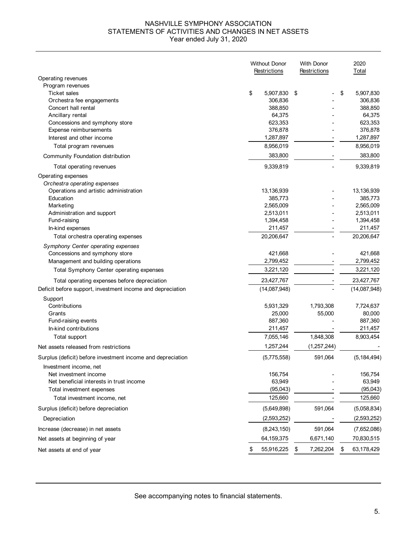#### NASHVILLE SYMPHONY ASSOCIATION STATEMENTS OF ACTIVITIES AND CHANGES IN NET ASSETS Year ended July 31, 2020

|                                                             | <b>Without Donor</b><br>Restrictions | <b>With Donor</b><br>Restrictions | 2020<br>Total     |
|-------------------------------------------------------------|--------------------------------------|-----------------------------------|-------------------|
| Operating revenues                                          |                                      |                                   |                   |
| Program revenues                                            |                                      |                                   |                   |
| <b>Ticket sales</b>                                         | \$<br>5,907,830                      | \$                                | \$<br>5,907,830   |
| Orchestra fee engagements                                   | 306,836                              |                                   | 306,836           |
| Concert hall rental                                         | 388,850                              |                                   | 388,850           |
| Ancillary rental<br>Concessions and symphony store          | 64,375<br>623,353                    |                                   | 64,375<br>623,353 |
| Expense reimbursements                                      | 376,878                              |                                   | 376,878           |
| Interest and other income                                   | 1,287,897                            |                                   | 1,287,897         |
| Total program revenues                                      | 8,956,019                            |                                   | 8,956,019         |
| Community Foundation distribution                           | 383,800                              |                                   | 383,800           |
| Total operating revenues                                    | 9,339,819                            |                                   | 9,339,819         |
| Operating expenses                                          |                                      |                                   |                   |
| Orchestra operating expenses                                |                                      |                                   |                   |
| Operations and artistic administration                      | 13,136,939                           |                                   | 13,136,939        |
| Education                                                   | 385,773                              |                                   | 385,773           |
| Marketing                                                   | 2,565,009                            |                                   | 2,565,009         |
| Administration and support                                  | 2,513,011                            |                                   | 2,513,011         |
| Fund-raising                                                | 1,394,458                            |                                   | 1,394,458         |
| In-kind expenses                                            | 211,457                              |                                   | 211,457           |
| Total orchestra operating expenses                          | 20,206,647                           |                                   | 20,206,647        |
| Symphony Center operating expenses                          |                                      |                                   |                   |
| Concessions and symphony store                              | 421,668                              |                                   | 421,668           |
| Management and building operations                          | 2,799,452                            |                                   | 2,799,452         |
| Total Symphony Center operating expenses                    | 3,221,120                            |                                   | 3,221,120         |
| Total operating expenses before depreciation                | 23,427,767                           |                                   | 23,427,767        |
| Deficit before support, investment income and depreciation  | (14,087,948)                         |                                   | (14,087,948)      |
| Support                                                     |                                      |                                   |                   |
| Contributions                                               | 5,931,329                            | 1,793,308                         | 7,724,637         |
| Grants                                                      | 25,000                               | 55,000                            | 80,000            |
| Fund-raising events                                         | 887,360                              |                                   | 887,360           |
| In-kind contributions                                       | 211,457                              |                                   | 211,457           |
| Total support                                               | 7,055,146<br>1,257,244               | 1,848,308                         | 8,903,454         |
| Net assets released from restrictions                       |                                      | (1,257,244)                       |                   |
| Surplus (deficit) before investment income and depreciation | (5,775,558)                          | 591,064                           | (5, 184, 494)     |
| Investment income, net<br>Net investment income             | 156,754                              |                                   | 156,754           |
| Net beneficial interests in trust income                    | 63,949                               |                                   | 63,949            |
| Total investment expenses                                   | (95,043)                             |                                   | (95, 043)         |
| Total investment income, net                                | 125,660                              |                                   | 125,660           |
| Surplus (deficit) before depreciation                       | (5,649,898)                          | 591,064                           | (5,058,834)       |
| Depreciation                                                | (2,593,252)                          |                                   | (2,593,252)       |
| Increase (decrease) in net assets                           | (8,243,150)                          | 591,064                           | (7,652,086)       |
| Net assets at beginning of year                             | 64,159,375                           | 6,671,140                         | 70,830,515        |
|                                                             |                                      |                                   |                   |
| Net assets at end of year                                   | \$<br>55,916,225                     | \$<br>7,262,204                   | \$<br>63,178,429  |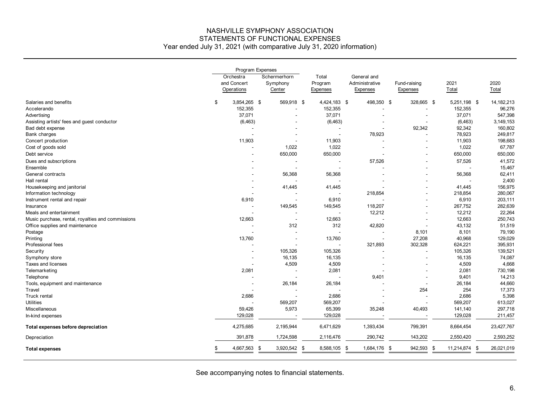# NASHVILLE SYMPHONY ASSOCIATION STATEMENTS OF FUNCTIONAL EXPENSES

Year ended July 31, 2021 (with comparative July 31, 2020 information)

|                                                   | Program Expenses                       |     |                                    |  |                                     |                                           |                          |     |               |     |               |
|---------------------------------------------------|----------------------------------------|-----|------------------------------------|--|-------------------------------------|-------------------------------------------|--------------------------|-----|---------------|-----|---------------|
|                                                   | Orchestra<br>and Concert<br>Operations |     | Schermerhorn<br>Symphony<br>Center |  | Total<br>Program<br><b>Expenses</b> | General and<br>Administrative<br>Expenses | Fund-raising<br>Expenses |     | 2021<br>Total |     | 2020<br>Total |
| Salaries and benefits                             | \$<br>3,854,265 \$                     |     | 569,918 \$                         |  | 4,424,183 \$                        | 498,350 \$                                | 328,665 \$               |     | 5,251,198 \$  |     | 14,182,213    |
| Accelerando                                       | 152,355                                |     |                                    |  | 152,355                             |                                           |                          |     | 152,355       |     | 96,276        |
| Advertising                                       | 37,071                                 |     |                                    |  | 37,071                              |                                           |                          |     | 37,071        |     | 547,398       |
| Assisting artists' fees and guest conductor       | (6, 463)                               |     |                                    |  | (6, 463)                            |                                           |                          |     | (6, 463)      |     | 3,149,153     |
| Bad debt expense                                  |                                        |     |                                    |  |                                     |                                           | 92,342                   |     | 92,342        |     | 160,802       |
| Bank charges                                      |                                        |     |                                    |  |                                     | 78,923                                    |                          |     | 78,923        |     | 249,817       |
| Concert production                                | 11,903                                 |     |                                    |  | 11,903                              |                                           |                          |     | 11,903        |     | 198,683       |
| Cost of goods sold                                |                                        |     | 1,022                              |  | 1,022                               |                                           |                          |     | 1,022         |     | 67,787        |
| Debt service                                      |                                        |     | 650,000                            |  | 650,000                             |                                           |                          |     | 650,000       |     | 650,000       |
| Dues and subscriptions                            |                                        |     |                                    |  |                                     | 57,526                                    |                          |     | 57,526        |     | 41,572        |
| Ensemble                                          |                                        |     | $\overline{\phantom{a}}$           |  |                                     |                                           |                          |     |               |     | 15,467        |
| General contracts                                 |                                        |     | 56,368                             |  | 56,368                              |                                           |                          |     | 56,368        |     | 62,411        |
| Hall rental                                       |                                        |     |                                    |  |                                     |                                           |                          |     |               |     | 2,400         |
| Housekeeping and janitorial                       |                                        |     | 41,445                             |  | 41,445                              |                                           |                          |     | 41,445        |     | 156,975       |
| Information technology                            |                                        |     |                                    |  |                                     | 218,854                                   |                          |     | 218,854       |     | 280,067       |
| Instrument rental and repair                      | 6,910                                  |     |                                    |  | 6,910                               |                                           |                          |     | 6,910         |     | 203,111       |
| Insurance                                         |                                        |     | 149,545                            |  | 149,545                             | 118,207                                   |                          |     | 267,752       |     | 282,639       |
| Meals and entertainment                           |                                        |     |                                    |  |                                     | 12,212                                    |                          |     | 12,212        |     | 22,264        |
| Music purchase, rental, royalties and commissions | 12,663                                 |     | $\overline{\phantom{a}}$           |  | 12,663                              |                                           |                          |     | 12,663        |     | 250,743       |
| Office supplies and maintenance                   |                                        |     | 312                                |  | 312                                 | 42,820                                    |                          |     | 43,132        |     | 51,519        |
| Postage                                           |                                        |     |                                    |  |                                     |                                           | 8,101                    |     | 8,101         |     | 79,190        |
| Printing                                          | 13,760                                 |     |                                    |  | 13,760                              |                                           | 27,208                   |     | 40,968        |     | 129,029       |
| Professional fees                                 |                                        |     |                                    |  |                                     | 321,893                                   | 302,328                  |     | 624,221       |     | 395,931       |
| Security                                          |                                        |     | 105,326                            |  | 105,326                             |                                           |                          |     | 105,326       |     | 139,521       |
| Symphony store                                    | $\overline{\phantom{a}}$               |     | 16,135                             |  | 16,135                              |                                           |                          |     | 16,135        |     | 74,087        |
| Taxes and licenses                                |                                        |     | 4,509                              |  | 4,509                               |                                           |                          |     | 4,509         |     | 4,668         |
| Telemarketing                                     | 2,081                                  |     |                                    |  | 2,081                               |                                           |                          |     | 2,081         |     | 730,198       |
| Telephone                                         |                                        |     | $\overline{\phantom{a}}$           |  |                                     | 9,401                                     |                          |     | 9,401         |     | 14,213        |
| Tools, equipment and maintenance                  |                                        |     | 26,184                             |  | 26,184                              |                                           |                          |     | 26,184        |     | 44,660        |
| Travel                                            |                                        |     |                                    |  |                                     |                                           | 254                      |     | 254           |     | 17,373        |
| Truck rental                                      | 2,686                                  |     |                                    |  | 2,686                               |                                           |                          |     | 2,686         |     | 5,398         |
| <b>Utilities</b>                                  |                                        |     | 569,207                            |  | 569,207                             |                                           |                          |     | 569,207       |     | 613,027       |
| Miscellaneous                                     | 59,426                                 |     | 5,973                              |  | 65,399                              | 35,248                                    | 40,493                   |     | 141,140       |     | 297,718       |
| In-kind expenses                                  | 129,028                                |     |                                    |  | 129,028                             |                                           |                          |     | 129,028       |     | 211,457       |
| Total expenses before depreciation                | 4,275,685                              |     | 2,195,944                          |  | 6,471,629                           | 1,393,434                                 | 799,391                  |     | 8,664,454     |     | 23,427,767    |
|                                                   |                                        |     |                                    |  |                                     |                                           |                          |     |               |     |               |
| Depreciation                                      | 391,878                                |     | 1,724,598                          |  | 2,116,476                           | 290,742                                   | 143,202                  |     | 2,550,420     |     | 2,593,252     |
| <b>Total expenses</b>                             | 4,667,563                              | -\$ | 3,920,542 \$                       |  | 8,588,105                           | \$<br>1,684,176                           | 942,593<br>\$            | -\$ | 11,214,874    | -\$ | 26,021,019    |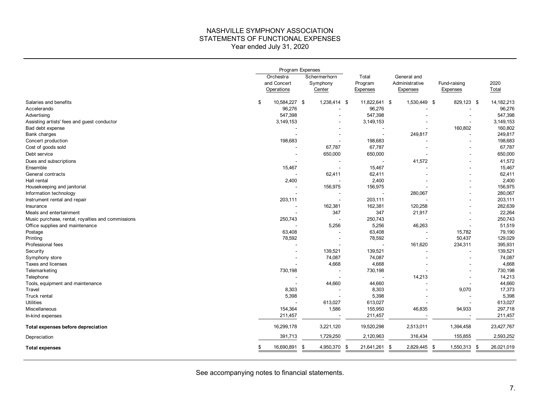#### NASHVILLE SYMPHONY ASSOCIATION STATEMENTS OF FUNCTIONAL EXPENSES Year ended July 31, 2020

|                                                   |                                        |                          | Program Expenses                   |                              |                                           |                          |      |               |
|---------------------------------------------------|----------------------------------------|--------------------------|------------------------------------|------------------------------|-------------------------------------------|--------------------------|------|---------------|
|                                                   | Orchestra<br>and Concert<br>Operations |                          | Schermerhorn<br>Symphony<br>Center | Total<br>Program<br>Expenses | General and<br>Administrative<br>Expenses | Fund-raising<br>Expenses |      | 2020<br>Total |
| Salaries and benefits                             | 10,584,227 \$<br>\$                    |                          | 1,238,414 \$                       | 11,822,641 \$                | 1,530,449 \$                              | 829,123 \$               |      | 14,182,213    |
| Accelerando                                       | 96,276                                 |                          |                                    | 96,276                       |                                           |                          |      | 96,276        |
| Advertising                                       | 547,398                                |                          |                                    | 547,398                      |                                           |                          |      | 547,398       |
| Assisting artists' fees and guest conductor       | 3,149,153                              |                          |                                    | 3,149,153                    |                                           |                          |      | 3,149,153     |
| Bad debt expense                                  |                                        |                          |                                    | $\overline{\phantom{a}}$     |                                           | 160,802                  |      | 160,802       |
| Bank charges                                      |                                        |                          |                                    | $\overline{\phantom{a}}$     | 249,817                                   |                          |      | 249,817       |
| Concert production                                | 198,683                                |                          |                                    | 198,683                      |                                           |                          |      | 198,683       |
| Cost of goods sold                                |                                        |                          | 67,787                             | 67,787                       |                                           |                          |      | 67,787        |
| Debt service                                      |                                        |                          | 650,000                            | 650,000                      |                                           |                          |      | 650,000       |
| Dues and subscriptions                            |                                        |                          |                                    |                              | 41,572                                    |                          |      | 41,572        |
| Ensemble                                          | 15,467                                 |                          |                                    | 15,467                       |                                           |                          |      | 15,467        |
| General contracts                                 |                                        |                          | 62,411                             | 62,411                       |                                           |                          |      | 62,411        |
| Hall rental                                       | 2,400                                  |                          |                                    | 2,400                        |                                           |                          |      | 2,400         |
| Housekeeping and janitorial                       |                                        |                          | 156,975                            | 156,975                      |                                           |                          |      | 156,975       |
| Information technology                            |                                        |                          |                                    | $\sim$                       | 280,067                                   |                          |      | 280,067       |
| Instrument rental and repair                      | 203,111                                |                          |                                    | 203,111                      |                                           |                          |      | 203,111       |
| Insurance                                         |                                        |                          | 162,381                            | 162,381                      | 120,258                                   |                          |      | 282,639       |
| Meals and entertainment                           |                                        |                          | 347                                | 347                          | 21,917                                    |                          |      | 22,264        |
| Music purchase, rental, royalties and commissions | 250,743                                |                          |                                    | 250,743                      |                                           |                          |      | 250,743       |
| Office supplies and maintenance                   |                                        |                          | 5,256                              | 5,256                        | 46,263                                    |                          |      | 51,519        |
| Postage                                           | 63,408                                 |                          |                                    | 63,408                       |                                           | 15,782                   |      | 79,190        |
| Printing                                          | 78,592                                 |                          |                                    | 78,592                       | $\sim$                                    | 50,437                   |      | 129,029       |
| Professional fees                                 |                                        |                          |                                    |                              | 161,620                                   | 234,311                  |      | 395,931       |
| Security                                          |                                        |                          | 139,521                            | 139,521                      |                                           |                          |      | 139,521       |
| Symphony store                                    |                                        | $\overline{\phantom{a}}$ | 74,087                             | 74,087                       |                                           |                          |      | 74,087        |
| Taxes and licenses                                |                                        |                          | 4,668                              | 4,668                        |                                           |                          |      | 4,668         |
| Telemarketing                                     | 730,198                                |                          |                                    | 730,198                      |                                           |                          |      | 730,198       |
| Telephone                                         |                                        |                          |                                    |                              | 14,213                                    |                          |      | 14,213        |
| Tools, equipment and maintenance                  |                                        |                          | 44,660                             | 44,660                       |                                           |                          |      | 44,660        |
| Travel                                            | 8,303                                  |                          |                                    | 8,303                        |                                           | 9,070                    |      | 17,373        |
| Truck rental                                      | 5,398                                  |                          |                                    | 5,398                        |                                           |                          |      | 5,398         |
| <b>Utilities</b>                                  |                                        |                          | 613,027                            | 613,027                      |                                           |                          |      | 613,027       |
| Miscellaneous                                     | 154,364                                |                          | 1,586                              | 155,950                      | 46,835                                    | 94,933                   |      | 297,718       |
| In-kind expenses                                  | 211,457                                |                          |                                    | 211,457                      |                                           |                          |      | 211,457       |
| Total expenses before depreciation                | 16,299,178                             |                          | 3,221,120                          | 19,520,298                   | 2,513,011                                 | 1,394,458                |      | 23,427,767    |
| Depreciation                                      | 391,713                                |                          | 1,729,250                          | 2,120,963                    | 316,434                                   | 155,855                  |      | 2,593,252     |
| <b>Total expenses</b>                             | 16,690,891                             | \$                       | 4,950,370                          | 21,641,261<br>\$             | 2,829,445<br>\$                           | 1,550,313<br>-\$         | - \$ | 26,021,019    |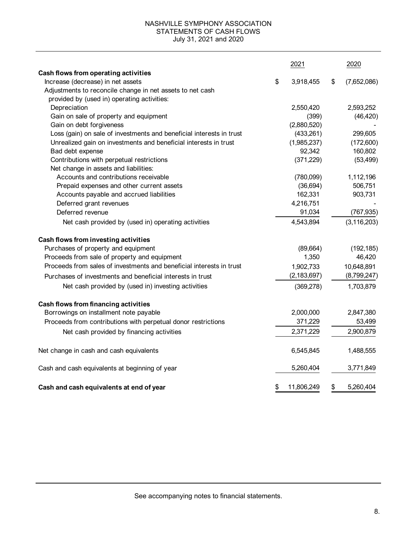#### NASHVILLE SYMPHONY ASSOCIATION STATEMENTS OF CASH FLOWS July 31, 2021 and 2020

|                                                                      | 2021             | 2020              |
|----------------------------------------------------------------------|------------------|-------------------|
| Cash flows from operating activities                                 |                  |                   |
| Increase (decrease) in net assets                                    | \$<br>3,918,455  | \$<br>(7,652,086) |
| Adjustments to reconcile change in net assets to net cash            |                  |                   |
| provided by (used in) operating activities:                          |                  |                   |
| Depreciation                                                         | 2,550,420        | 2,593,252         |
| Gain on sale of property and equipment                               | (399)            | (46, 420)         |
| Gain on debt forgiveness                                             | (2,880,520)      |                   |
| Loss (gain) on sale of investments and beneficial interests in trust | (433,261)        | 299,605           |
| Unrealized gain on investments and beneficial interests in trust     | (1,985,237)      | (172,600)         |
| Bad debt expense                                                     | 92,342           | 160,802           |
| Contributions with perpetual restrictions                            | (371, 229)       | (53, 499)         |
| Net change in assets and liabilities:                                |                  |                   |
| Accounts and contributions receivable                                | (780,099)        | 1,112,196         |
| Prepaid expenses and other current assets                            | (36, 694)        | 506,751           |
| Accounts payable and accrued liabilities                             | 162,331          | 903,731           |
| Deferred grant revenues                                              | 4,216,751        |                   |
| Deferred revenue                                                     | 91,034           | (767, 935)        |
| Net cash provided by (used in) operating activities                  | 4,543,894        | (3, 116, 203)     |
| Cash flows from investing activities                                 |                  |                   |
| Purchases of property and equipment                                  | (89, 664)        | (192, 185)        |
| Proceeds from sale of property and equipment                         | 1,350            | 46,420            |
| Proceeds from sales of investments and beneficial interests in trust | 1,902,733        | 10,648,891        |
| Purchases of investments and beneficial interests in trust           | (2, 183, 697)    | (8,799,247)       |
| Net cash provided by (used in) investing activities                  | (369, 278)       | 1,703,879         |
| Cash flows from financing activities                                 |                  |                   |
| Borrowings on installment note payable                               | 2,000,000        | 2,847,380         |
| Proceeds from contributions with perpetual donor restrictions        | 371,229          | 53,499            |
| Net cash provided by financing activities                            | 2,371,229        | 2,900,879         |
| Net change in cash and cash equivalents                              | 6,545,845        | 1,488,555         |
| Cash and cash equivalents at beginning of year                       | 5,260,404        | 3,771,849         |
| Cash and cash equivalents at end of year                             | \$<br>11,806,249 | \$<br>5,260,404   |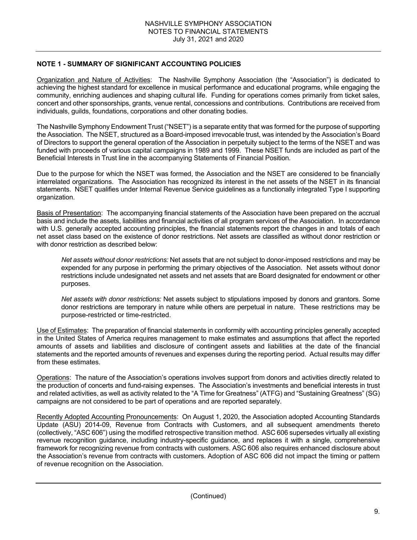### **NOTE 1 - SUMMARY OF SIGNIFICANT ACCOUNTING POLICIES**

Organization and Nature of Activities: The Nashville Symphony Association (the "Association") is dedicated to achieving the highest standard for excellence in musical performance and educational programs, while engaging the community, enriching audiences and shaping cultural life. Funding for operations comes primarily from ticket sales, concert and other sponsorships, grants, venue rental, concessions and contributions. Contributions are received from individuals, guilds, foundations, corporations and other donating bodies.

The Nashville Symphony Endowment Trust ("NSET") is a separate entity that was formed for the purpose of supporting the Association. The NSET, structured as a Board-imposed irrevocable trust, was intended by the Association's Board of Directors to support the general operation of the Association in perpetuity subject to the terms of the NSET and was funded with proceeds of various capital campaigns in 1989 and 1999. These NSET funds are included as part of the Beneficial Interests in Trust line in the accompanying Statements of Financial Position.

Due to the purpose for which the NSET was formed, the Association and the NSET are considered to be financially interrelated organizations. The Association has recognized its interest in the net assets of the NSET in its financial statements. NSET qualifies under Internal Revenue Service guidelines as a functionally integrated Type I supporting organization.

Basis of Presentation: The accompanying financial statements of the Association have been prepared on the accrual basis and include the assets, liabilities and financial activities of all program services of the Association. In accordance with U.S. generally accepted accounting principles, the financial statements report the changes in and totals of each net asset class based on the existence of donor restrictions. Net assets are classified as without donor restriction or with donor restriction as described below:

*Net assets without donor restrictions:* Net assets that are not subject to donor-imposed restrictions and may be expended for any purpose in performing the primary objectives of the Association. Net assets without donor restrictions include undesignated net assets and net assets that are Board designated for endowment or other purposes.

*Net assets with donor restrictions:* Net assets subject to stipulations imposed by donors and grantors. Some donor restrictions are temporary in nature while others are perpetual in nature. These restrictions may be purpose-restricted or time-restricted.

Use of Estimates: The preparation of financial statements in conformity with accounting principles generally accepted in the United States of America requires management to make estimates and assumptions that affect the reported amounts of assets and liabilities and disclosure of contingent assets and liabilities at the date of the financial statements and the reported amounts of revenues and expenses during the reporting period. Actual results may differ from these estimates.

Operations: The nature of the Association's operations involves support from donors and activities directly related to the production of concerts and fund-raising expenses. The Association's investments and beneficial interests in trust and related activities, as well as activity related to the "A Time for Greatness" (ATFG) and "Sustaining Greatness" (SG) campaigns are not considered to be part of operations and are reported separately.

Recently Adopted Accounting Pronouncements: On August 1, 2020, the Association adopted Accounting Standards Update (ASU) 2014-09, Revenue from Contracts with Customers, and all subsequent amendments thereto (collectively, "ASC 606") using the modified retrospective transition method. ASC 606 supersedes virtually all existing revenue recognition guidance, including industry-specific guidance, and replaces it with a single, comprehensive framework for recognizing revenue from contracts with customers. ASC 606 also requires enhanced disclosure about the Association's revenue from contracts with customers. Adoption of ASC 606 did not impact the timing or pattern of revenue recognition on the Association.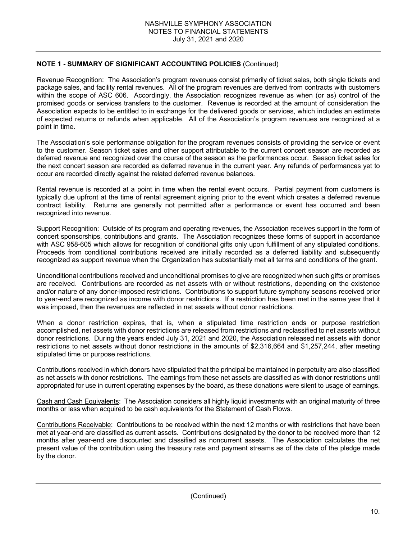Revenue Recognition: The Association's program revenues consist primarily of ticket sales, both single tickets and package sales, and facility rental revenues. All of the program revenues are derived from contracts with customers within the scope of ASC 606. Accordingly, the Association recognizes revenue as when (or as) control of the promised goods or services transfers to the customer. Revenue is recorded at the amount of consideration the Association expects to be entitled to in exchange for the delivered goods or services, which includes an estimate of expected returns or refunds when applicable. All of the Association's program revenues are recognized at a point in time.

The Association's sole performance obligation for the program revenues consists of providing the service or event to the customer. Season ticket sales and other support attributable to the current concert season are recorded as deferred revenue and recognized over the course of the season as the performances occur. Season ticket sales for the next concert season are recorded as deferred revenue in the current year. Any refunds of performances yet to occur are recorded directly against the related deferred revenue balances.

Rental revenue is recorded at a point in time when the rental event occurs. Partial payment from customers is typically due upfront at the time of rental agreement signing prior to the event which creates a deferred revenue contract liability. Returns are generally not permitted after a performance or event has occurred and been recognized into revenue.

Support Recognition: Outside of its program and operating revenues, the Association receives support in the form of concert sponsorships, contributions and grants. The Association recognizes these forms of support in accordance with ASC 958-605 which allows for recognition of conditional gifts only upon fulfillment of any stipulated conditions. Proceeds from conditional contributions received are initially recorded as a deferred liability and subsequently recognized as support revenue when the Organization has substantially met all terms and conditions of the grant.

Unconditional contributions received and unconditional promises to give are recognized when such gifts or promises are received. Contributions are recorded as net assets with or without restrictions, depending on the existence and/or nature of any donor-imposed restrictions. Contributions to support future symphony seasons received prior to year-end are recognized as income with donor restrictions. If a restriction has been met in the same year that it was imposed, then the revenues are reflected in net assets without donor restrictions.

When a donor restriction expires, that is, when a stipulated time restriction ends or purpose restriction accomplished, net assets with donor restrictions are released from restrictions and reclassified to net assets without donor restrictions. During the years ended July 31, 2021 and 2020, the Association released net assets with donor restrictions to net assets without donor restrictions in the amounts of \$2,316,664 and \$1,257,244, after meeting stipulated time or purpose restrictions.

Contributions received in which donors have stipulated that the principal be maintained in perpetuity are also classified as net assets with donor restrictions. The earnings from these net assets are classified as with donor restrictions until appropriated for use in current operating expenses by the board, as these donations were silent to usage of earnings.

Cash and Cash Equivalents: The Association considers all highly liquid investments with an original maturity of three months or less when acquired to be cash equivalents for the Statement of Cash Flows.

Contributions Receivable: Contributions to be received within the next 12 months or with restrictions that have been met at year-end are classified as current assets. Contributions designated by the donor to be received more than 12 months after year-end are discounted and classified as noncurrent assets. The Association calculates the net present value of the contribution using the treasury rate and payment streams as of the date of the pledge made by the donor.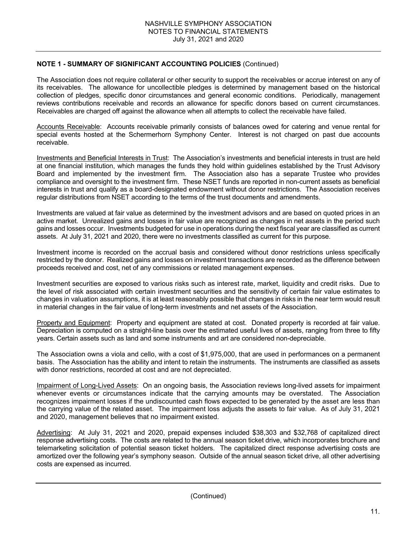The Association does not require collateral or other security to support the receivables or accrue interest on any of its receivables. The allowance for uncollectible pledges is determined by management based on the historical collection of pledges, specific donor circumstances and general economic conditions. Periodically, management reviews contributions receivable and records an allowance for specific donors based on current circumstances. Receivables are charged off against the allowance when all attempts to collect the receivable have failed.

Accounts Receivable: Accounts receivable primarily consists of balances owed for catering and venue rental for special events hosted at the Schermerhorn Symphony Center. Interest is not charged on past due accounts receivable.

Investments and Beneficial Interests in Trust: The Association's investments and beneficial interests in trust are held at one financial institution, which manages the funds they hold within guidelines established by the Trust Advisory Board and implemented by the investment firm. The Association also has a separate Trustee who provides compliance and oversight to the investment firm. These NSET funds are reported in non-current assets as beneficial interests in trust and qualify as a board-designated endowment without donor restrictions. The Association receives regular distributions from NSET according to the terms of the trust documents and amendments.

Investments are valued at fair value as determined by the investment advisors and are based on quoted prices in an active market. Unrealized gains and losses in fair value are recognized as changes in net assets in the period such gains and losses occur. Investments budgeted for use in operations during the next fiscal year are classified as current assets. At July 31, 2021 and 2020, there were no investments classified as current for this purpose.

Investment income is recorded on the accrual basis and considered without donor restrictions unless specifically restricted by the donor. Realized gains and losses on investment transactions are recorded as the difference between proceeds received and cost, net of any commissions or related management expenses.

Investment securities are exposed to various risks such as interest rate, market, liquidity and credit risks. Due to the level of risk associated with certain investment securities and the sensitivity of certain fair value estimates to changes in valuation assumptions, it is at least reasonably possible that changes in risks in the near term would result in material changes in the fair value of long-term investments and net assets of the Association.

Property and Equipment: Property and equipment are stated at cost. Donated property is recorded at fair value. Depreciation is computed on a straight-line basis over the estimated useful lives of assets, ranging from three to fifty years. Certain assets such as land and some instruments and art are considered non-depreciable.

The Association owns a viola and cello, with a cost of \$1,975,000, that are used in performances on a permanent basis. The Association has the ability and intent to retain the instruments. The instruments are classified as assets with donor restrictions, recorded at cost and are not depreciated.

Impairment of Long-Lived Assets: On an ongoing basis, the Association reviews long-lived assets for impairment whenever events or circumstances indicate that the carrying amounts may be overstated. The Association recognizes impairment losses if the undiscounted cash flows expected to be generated by the asset are less than the carrying value of the related asset. The impairment loss adjusts the assets to fair value. As of July 31, 2021 and 2020, management believes that no impairment existed.

Advertising: At July 31, 2021 and 2020, prepaid expenses included \$38,303 and \$32,768 of capitalized direct response advertising costs. The costs are related to the annual season ticket drive, which incorporates brochure and telemarketing solicitation of potential season ticket holders. The capitalized direct response advertising costs are amortized over the following year's symphony season. Outside of the annual season ticket drive, all other advertising costs are expensed as incurred.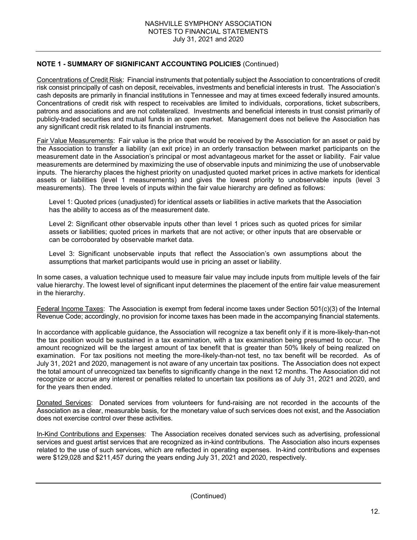Concentrations of Credit Risk: Financial instruments that potentially subject the Association to concentrations of credit risk consist principally of cash on deposit, receivables, investments and beneficial interests in trust. The Association's cash deposits are primarily in financial institutions in Tennessee and may at times exceed federally insured amounts. Concentrations of credit risk with respect to receivables are limited to individuals, corporations, ticket subscribers, patrons and associations and are not collateralized. Investments and beneficial interests in trust consist primarily of publicly-traded securities and mutual funds in an open market. Management does not believe the Association has any significant credit risk related to its financial instruments.

Fair Value Measurements: Fair value is the price that would be received by the Association for an asset or paid by the Association to transfer a liability (an exit price) in an orderly transaction between market participants on the measurement date in the Association's principal or most advantageous market for the asset or liability. Fair value measurements are determined by maximizing the use of observable inputs and minimizing the use of unobservable inputs. The hierarchy places the highest priority on unadjusted quoted market prices in active markets for identical assets or liabilities (level 1 measurements) and gives the lowest priority to unobservable inputs (level 3 measurements). The three levels of inputs within the fair value hierarchy are defined as follows:

Level 1: Quoted prices (unadjusted) for identical assets or liabilities in active markets that the Association has the ability to access as of the measurement date.

Level 2: Significant other observable inputs other than level 1 prices such as quoted prices for similar assets or liabilities; quoted prices in markets that are not active; or other inputs that are observable or can be corroborated by observable market data.

Level 3: Significant unobservable inputs that reflect the Association's own assumptions about the assumptions that market participants would use in pricing an asset or liability.

In some cases, a valuation technique used to measure fair value may include inputs from multiple levels of the fair value hierarchy. The lowest level of significant input determines the placement of the entire fair value measurement in the hierarchy.

Federal Income Taxes: The Association is exempt from federal income taxes under Section 501(c)(3) of the Internal Revenue Code; accordingly, no provision for income taxes has been made in the accompanying financial statements.

In accordance with applicable guidance, the Association will recognize a tax benefit only if it is more-likely-than-not the tax position would be sustained in a tax examination, with a tax examination being presumed to occur. The amount recognized will be the largest amount of tax benefit that is greater than 50% likely of being realized on examination. For tax positions not meeting the more-likely-than-not test, no tax benefit will be recorded. As of July 31, 2021 and 2020, management is not aware of any uncertain tax positions. The Association does not expect the total amount of unrecognized tax benefits to significantly change in the next 12 months. The Association did not recognize or accrue any interest or penalties related to uncertain tax positions as of July 31, 2021 and 2020, and for the years then ended.

Donated Services: Donated services from volunteers for fund-raising are not recorded in the accounts of the Association as a clear, measurable basis, for the monetary value of such services does not exist, and the Association does not exercise control over these activities.

In-Kind Contributions and Expenses: The Association receives donated services such as advertising, professional services and guest artist services that are recognized as in-kind contributions. The Association also incurs expenses related to the use of such services, which are reflected in operating expenses. In-kind contributions and expenses were \$129,028 and \$211,457 during the years ending July 31, 2021 and 2020, respectively.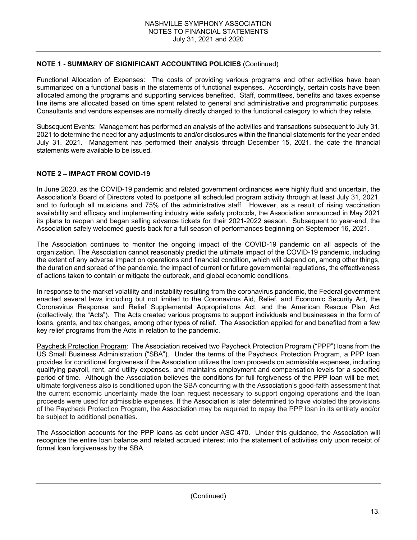Functional Allocation of Expenses: The costs of providing various programs and other activities have been summarized on a functional basis in the statements of functional expenses. Accordingly, certain costs have been allocated among the programs and supporting services benefited. Staff, committees, benefits and taxes expense line items are allocated based on time spent related to general and administrative and programmatic purposes. Consultants and vendors expenses are normally directly charged to the functional category to which they relate.

Subsequent Events: Management has performed an analysis of the activities and transactions subsequent to July 31, 2021 to determine the need for any adjustments to and/or disclosures within the financial statements for the year ended July 31, 2021. Management has performed their analysis through December 15, 2021, the date the financial statements were available to be issued.

### **NOTE 2 – IMPACT FROM COVID-19**

In June 2020, as the COVID-19 pandemic and related government ordinances were highly fluid and uncertain, the Association's Board of Directors voted to postpone all scheduled program activity through at least July 31, 2021, and to furlough all musicians and 75% of the administrative staff. However, as a result of rising vaccination availability and efficacy and implementing industry wide safety protocols, the Association announced in May 2021 its plans to reopen and began selling advance tickets for their 2021-2022 season. Subsequent to year-end, the Association safely welcomed guests back for a full season of performances beginning on September 16, 2021.

The Association continues to monitor the ongoing impact of the COVID-19 pandemic on all aspects of the organization. The Association cannot reasonably predict the ultimate impact of the COVID-19 pandemic, including the extent of any adverse impact on operations and financial condition, which will depend on, among other things, the duration and spread of the pandemic, the impact of current or future governmental regulations, the effectiveness of actions taken to contain or mitigate the outbreak, and global economic conditions.

In response to the market volatility and instability resulting from the coronavirus pandemic, the Federal government enacted several laws including but not limited to the Coronavirus Aid, Relief, and Economic Security Act, the Coronavirus Response and Relief Supplemental Appropriations Act, and the American Rescue Plan Act (collectively, the "Acts"). The Acts created various programs to support individuals and businesses in the form of loans, grants, and tax changes, among other types of relief. The Association applied for and benefited from a few key relief programs from the Acts in relation to the pandemic.

Paycheck Protection Program: The Association received two Paycheck Protection Program ("PPP") loans from the US Small Business Administration ("SBA"). Under the terms of the Paycheck Protection Program, a PPP loan provides for conditional forgiveness if the Association utilizes the loan proceeds on admissible expenses, including qualifying payroll, rent, and utility expenses, and maintains employment and compensation levels for a specified period of time. Although the Association believes the conditions for full forgiveness of the PPP loan will be met, ultimate forgiveness also is conditioned upon the SBA concurring with the Association's good-faith assessment that the current economic uncertainty made the loan request necessary to support ongoing operations and the loan proceeds were used for admissible expenses. If the Association is later determined to have violated the provisions of the Paycheck Protection Program, the Association may be required to repay the PPP loan in its entirety and/or be subject to additional penalties.

The Association accounts for the PPP loans as debt under ASC 470. Under this guidance, the Association will recognize the entire loan balance and related accrued interest into the statement of activities only upon receipt of formal loan forgiveness by the SBA.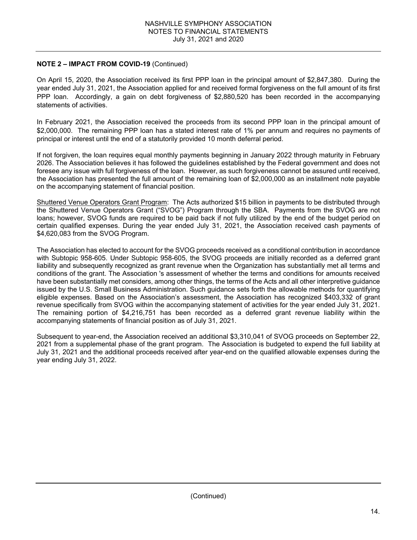### **NOTE 2 – IMPACT FROM COVID-19** (Continued)

On April 15, 2020, the Association received its first PPP loan in the principal amount of \$2,847,380. During the year ended July 31, 2021, the Association applied for and received formal forgiveness on the full amount of its first PPP loan. Accordingly, a gain on debt forgiveness of \$2,880,520 has been recorded in the accompanying statements of activities.

In February 2021, the Association received the proceeds from its second PPP loan in the principal amount of \$2,000,000. The remaining PPP loan has a stated interest rate of 1% per annum and requires no payments of principal or interest until the end of a statutorily provided 10 month deferral period.

If not forgiven, the loan requires equal monthly payments beginning in January 2022 through maturity in February 2026. The Association believes it has followed the guidelines established by the Federal government and does not foresee any issue with full forgiveness of the loan. However, as such forgiveness cannot be assured until received, the Association has presented the full amount of the remaining loan of \$2,000,000 as an installment note payable on the accompanying statement of financial position.

Shuttered Venue Operators Grant Program: The Acts authorized \$15 billion in payments to be distributed through the Shuttered Venue Operators Grant ("SVOG") Program through the SBA. Payments from the SVOG are not loans; however, SVOG funds are required to be paid back if not fully utilized by the end of the budget period on certain qualified expenses. During the year ended July 31, 2021, the Association received cash payments of \$4,620,083 from the SVOG Program.

The Association has elected to account for the SVOG proceeds received as a conditional contribution in accordance with Subtopic 958-605. Under Subtopic 958-605, the SVOG proceeds are initially recorded as a deferred grant liability and subsequently recognized as grant revenue when the Organization has substantially met all terms and conditions of the grant. The Association 's assessment of whether the terms and conditions for amounts received have been substantially met considers, among other things, the terms of the Acts and all other interpretive guidance issued by the U.S. Small Business Administration. Such guidance sets forth the allowable methods for quantifying eligible expenses. Based on the Association's assessment, the Association has recognized \$403,332 of grant revenue specifically from SVOG within the accompanying statement of activities for the year ended July 31, 2021. The remaining portion of \$4,216,751 has been recorded as a deferred grant revenue liability within the accompanying statements of financial position as of July 31, 2021.

Subsequent to year-end, the Association received an additional \$3,310,041 of SVOG proceeds on September 22, 2021 from a supplemental phase of the grant program. The Association is budgeted to expend the full liability at July 31, 2021 and the additional proceeds received after year-end on the qualified allowable expenses during the year ending July 31, 2022.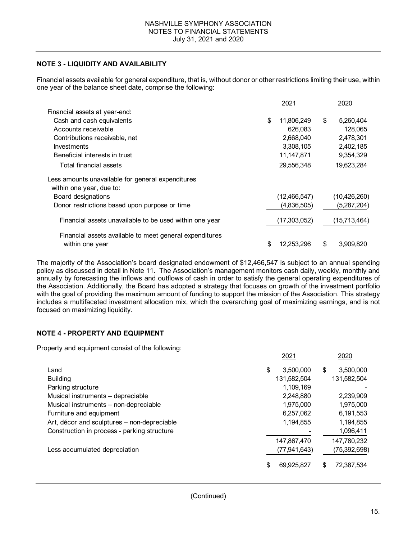### **NOTE 3 - LIQUIDITY AND AVAILABILITY**

Financial assets available for general expenditure, that is, without donor or other restrictions limiting their use, within one year of the balance sheet date, comprise the following:

|                                                         | 2021             | 2020            |
|---------------------------------------------------------|------------------|-----------------|
| Financial assets at year-end:                           |                  |                 |
| Cash and cash equivalents                               | \$<br>11,806,249 | \$<br>5,260,404 |
| Accounts receivable                                     | 626,083          | 128,065         |
| Contributions receivable, net                           | 2,668,040        | 2,478,301       |
| Investments                                             | 3,308,105        | 2,402,185       |
| Beneficial interests in trust                           | 11,147,871       | 9,354,329       |
| Total financial assets                                  | 29,556,348       | 19,623,284      |
| Less amounts unavailable for general expenditures       |                  |                 |
| within one year, due to:                                |                  |                 |
| Board designations                                      | (12, 466, 547)   | (10, 426, 260)  |
| Donor restrictions based upon purpose or time           | (4,836,505)      | (5,287,204)     |
| Financial assets unavailable to be used within one year | (17,303,052)     | (15,713,464)    |
| Financial assets available to meet general expenditures |                  |                 |
| within one year                                         | \$<br>12,253,296 | \$<br>3,909,820 |

The majority of the Association's board designated endowment of \$12,466,547 is subject to an annual spending policy as discussed in detail in Note 11. The Association's management monitors cash daily, weekly, monthly and annually by forecasting the inflows and outflows of cash in order to satisfy the general operating expenditures of the Association. Additionally, the Board has adopted a strategy that focuses on growth of the investment portfolio with the goal of providing the maximum amount of funding to support the mission of the Association. This strategy includes a multifaceted investment allocation mix, which the overarching goal of maximizing earnings, and is not focused on maximizing liquidity.

### **NOTE 4 - PROPERTY AND EQUIPMENT**

Property and equipment consist of the following:

|                                             | 2021            | 2020             |
|---------------------------------------------|-----------------|------------------|
| Land                                        | \$<br>3,500,000 | \$<br>3,500,000  |
| <b>Building</b>                             | 131,582,504     | 131,582,504      |
| Parking structure                           | 1,109,169       |                  |
| Musical instruments - depreciable           | 2,248,880       | 2,239,909        |
| Musical instruments - non-depreciable       | 1,975,000       | 1,975,000        |
| Furniture and equipment                     | 6,257,062       | 6,191,553        |
| Art, décor and sculptures - non-depreciable | 1,194,855       | 1,194,855        |
| Construction in process - parking structure |                 | 1,096,411        |
|                                             | 147,867,470     | 147,780,232      |
| Less accumulated depreciation               | (77, 941, 643)  | (75,392,698)     |
|                                             | 69,925,827      | \$<br>72,387,534 |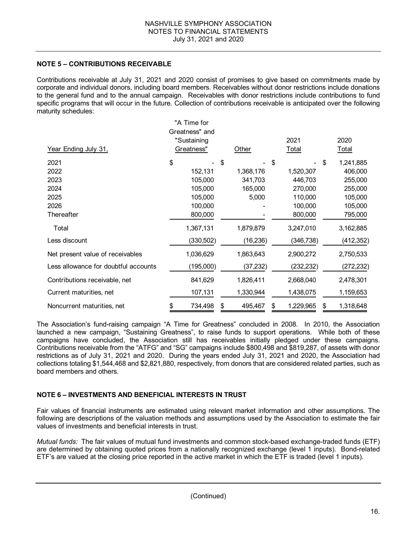### **NOTE 5 – CONTRIBUTIONS RECEIVABLE**

Contributions receivable at July 31, 2021 and 2020 consist of promises to give based on commitments made by corporate and individual donors, including board members. Receivables without donor restrictions include donations to the general fund and to the annual campaign. Receivables with donor restrictions include contributions to fund specific programs that will occur in the future. Collection of contributions receivable is anticipated over the following maturity schedules:

|                                      | "A Time for    |              |                 |                 |
|--------------------------------------|----------------|--------------|-----------------|-----------------|
|                                      | Greatness" and |              |                 |                 |
|                                      | "Sustaining    |              | 2021            | 2020            |
| Year Ending July 31,                 | Greatness"     | Other        | Total           | Total           |
| 2021                                 | \$             | \$           | \$              | 1,241,885<br>\$ |
| 2022                                 | 152,131        | 1,368,176    | 1,520,307       | 406,000         |
| 2023                                 | 105,000        | 341,703      | 446,703         | 255,000         |
| 2024                                 | 105,000        | 165,000      | 270,000         | 255,000         |
| 2025                                 | 105,000        | 5,000        | 110,000         | 105,000         |
| 2026                                 | 100,000        |              | 100,000         | 105,000         |
| Thereafter                           | 800,000        |              | 800,000         | 795,000         |
| Total                                | 1,367,131      | 1,879,879    | 3,247,010       | 3,162,885       |
| Less discount                        | (330, 502)     | (16, 236)    | (346, 738)      | (412, 352)      |
| Net present value of receivables     | 1,036,629      | 1,863,643    | 2,900,272       | 2,750,533       |
| Less allowance for doubtful accounts | (195,000)      | (37, 232)    | (232, 232)      | (272,232)       |
| Contributions receivable, net        | 841,629        | 1,826,411    | 2,668,040       | 2,478,301       |
| Current maturities, net              | 107,131        | 1,330,944    | 1,438,075       | 1,159,653       |
| Noncurrent maturities, net           | 734,498<br>\$  | 495,467<br>S | 1,229,965<br>\$ | 1,318,648<br>\$ |

The Association's fund-raising campaign "A Time for Greatness" concluded in 2008. In 2010, the Association launched a new campaign, "Sustaining Greatness", to raise funds to support operations. While both of these campaigns have concluded, the Association still has receivables initially pledged under these campaigns. Contributions receivable from the "ATFG" and "SG" campaigns include \$800,498 and \$819,287, of assets with donor restrictions as of July 31, 2021 and 2020. During the years ended July 31, 2021 and 2020, the Association had collections totaling \$1,544,468 and \$2,821,880, respectively, from donors that are considered related parties, such as board members and others.

### **NOTE 6 – INVESTMENTS AND BENEFICIAL INTERESTS IN TRUST**

Fair values of financial instruments are estimated using relevant market information and other assumptions. The following are descriptions of the valuation methods and assumptions used by the Association to estimate the fair values of investments and beneficial interests in trust.

*Mutual funds:* The fair values of mutual fund investments and common stock-based exchange-traded funds (ETF) are determined by obtaining quoted prices from a nationally recognized exchange (level 1 inputs). Bond-related ETF's are valued at the closing price reported in the active market in which the ETF is traded (level 1 inputs).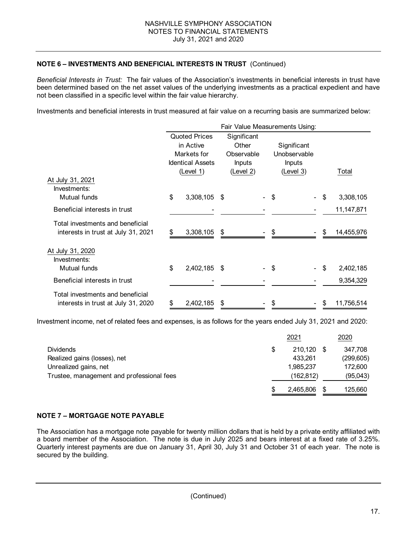### **NOTE 6 – INVESTMENTS AND BENEFICIAL INTERESTS IN TRUST** (Continued)

*Beneficial Interests in Trust:* The fair values of the Association's investments in beneficial interests in trust have been determined based on the net asset values of the underlying investments as a practical expedient and have not been classified in a specific level within the fair value hierarchy.

Investments and beneficial interests in trust measured at fair value on a recurring basis are summarized below:

|                                                                         | Fair Value Measurements Using: |                                                                                          |    |                                                                  |      |                                                    |    |            |  |
|-------------------------------------------------------------------------|--------------------------------|------------------------------------------------------------------------------------------|----|------------------------------------------------------------------|------|----------------------------------------------------|----|------------|--|
|                                                                         |                                | <b>Quoted Prices</b><br>in Active<br>Markets for<br><b>Identical Assets</b><br>(Level 1) |    | Significant<br>Other<br>Observable<br><b>Inputs</b><br>(Level 2) |      | Significant<br>Unobservable<br>Inputs<br>(Level 3) |    | Total      |  |
| At July 31, 2021<br>Investments:                                        |                                |                                                                                          |    |                                                                  |      |                                                    |    |            |  |
| Mutual funds                                                            | \$                             | 3,308,105 \$                                                                             |    |                                                                  | - \$ |                                                    | \$ | 3,308,105  |  |
| Beneficial interests in trust                                           |                                |                                                                                          |    |                                                                  |      |                                                    |    | 11,147,871 |  |
| Total investments and beneficial<br>interests in trust at July 31, 2021 | \$                             | 3,308,105                                                                                | \$ |                                                                  | \$   |                                                    | \$ | 14,455,976 |  |
| At July 31, 2020<br>Investments:<br>Mutual funds                        | \$                             | 2,402,185 \$                                                                             |    |                                                                  | \$   |                                                    | \$ | 2,402,185  |  |
| Beneficial interests in trust                                           |                                |                                                                                          |    |                                                                  |      |                                                    |    | 9,354,329  |  |
| Total investments and beneficial<br>interests in trust at July 31, 2020 | \$                             | 2,402,185                                                                                |    |                                                                  | \$   |                                                    | S  | 11,756,514 |  |

Investment income, net of related fees and expenses, is as follows for the years ended July 31, 2021 and 2020:

|                                           | 2021          |    | 2020       |
|-------------------------------------------|---------------|----|------------|
| <b>Dividends</b>                          | \$<br>210.120 | -S | 347,708    |
| Realized gains (losses), net              | 433.261       |    | (299, 605) |
| Unrealized gains, net                     | 1.985.237     |    | 172,600    |
| Trustee, management and professional fees | (162,812)     |    | (95,043)   |
|                                           | 2,465,806     |    | 125,660    |

### **NOTE 7 – MORTGAGE NOTE PAYABLE**

The Association has a mortgage note payable for twenty million dollars that is held by a private entity affiliated with a board member of the Association. The note is due in July 2025 and bears interest at a fixed rate of 3.25%. Quarterly interest payments are due on January 31, April 30, July 31 and October 31 of each year. The note is secured by the building.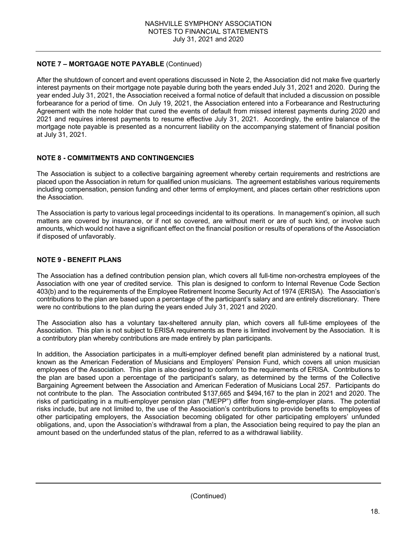# **NOTE 7 – MORTGAGE NOTE PAYABLE** (Continued)

After the shutdown of concert and event operations discussed in Note 2, the Association did not make five quarterly interest payments on their mortgage note payable during both the years ended July 31, 2021 and 2020. During the year ended July 31, 2021, the Association received a formal notice of default that included a discussion on possible forbearance for a period of time. On July 19, 2021, the Association entered into a Forbearance and Restructuring Agreement with the note holder that cured the events of default from missed interest payments during 2020 and 2021 and requires interest payments to resume effective July 31, 2021. Accordingly, the entire balance of the mortgage note payable is presented as a noncurrent liability on the accompanying statement of financial position at July 31, 2021.

### **NOTE 8 - COMMITMENTS AND CONTINGENCIES**

The Association is subject to a collective bargaining agreement whereby certain requirements and restrictions are placed upon the Association in return for qualified union musicians. The agreement establishes various requirements including compensation, pension funding and other terms of employment, and places certain other restrictions upon the Association.

The Association is party to various legal proceedings incidental to its operations. In management's opinion, all such matters are covered by insurance, or if not so covered, are without merit or are of such kind, or involve such amounts, which would not have a significant effect on the financial position or results of operations of the Association if disposed of unfavorably.

### **NOTE 9 - BENEFIT PLANS**

The Association has a defined contribution pension plan, which covers all full-time non-orchestra employees of the Association with one year of credited service. This plan is designed to conform to Internal Revenue Code Section 403(b) and to the requirements of the Employee Retirement Income Security Act of 1974 (ERISA). The Association's contributions to the plan are based upon a percentage of the participant's salary and are entirely discretionary. There were no contributions to the plan during the years ended July 31, 2021 and 2020.

The Association also has a voluntary tax-sheltered annuity plan, which covers all full-time employees of the Association. This plan is not subject to ERISA requirements as there is limited involvement by the Association. It is a contributory plan whereby contributions are made entirely by plan participants.

In addition, the Association participates in a multi-employer defined benefit plan administered by a national trust, known as the American Federation of Musicians and Employers' Pension Fund, which covers all union musician employees of the Association. This plan is also designed to conform to the requirements of ERISA. Contributions to the plan are based upon a percentage of the participant's salary, as determined by the terms of the Collective Bargaining Agreement between the Association and American Federation of Musicians Local 257. Participants do not contribute to the plan. The Association contributed \$137,665 and \$494,167 to the plan in 2021 and 2020. The risks of participating in a multi-employer pension plan ("MEPP") differ from single-employer plans. The potential risks include, but are not limited to, the use of the Association's contributions to provide benefits to employees of other participating employers, the Association becoming obligated for other participating employers' unfunded obligations, and, upon the Association's withdrawal from a plan, the Association being required to pay the plan an amount based on the underfunded status of the plan, referred to as a withdrawal liability.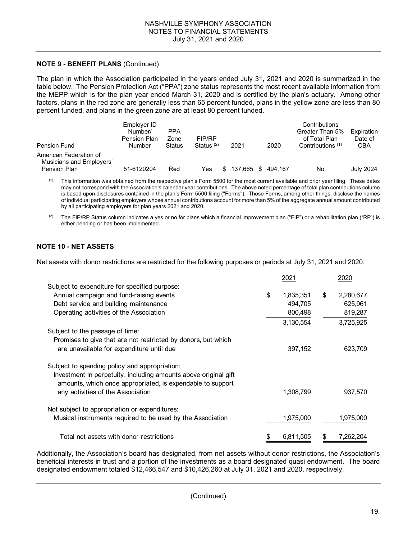### **NOTE 9 - BENEFIT PLANS** (Continued)

The plan in which the Association participated in the years ended July 31, 2021 and 2020 is summarized in the table below. The Pension Protection Act ("PPA") zone status represents the most recent available information from the MEPP which is for the plan year ended March 31, 2020 and is certified by the plan's actuary. Among other factors, plans in the red zone are generally less than 65 percent funded, plans in the yellow zone are less than 80 percent funded, and plans in the green zone are at least 80 percent funded.

| Pension Fund                                                       | Employer ID<br>Number/<br>Pension Plan<br>Number | <b>PPA</b><br>Zone<br>Status | FIP/RP<br>Status $(2)$ | 2021    | 2020    | Contributions<br>Greater Than 5%<br>of Total Plan<br>Contributions <sup>(1)</sup> | Expiration<br>Date of<br>CBA |
|--------------------------------------------------------------------|--------------------------------------------------|------------------------------|------------------------|---------|---------|-----------------------------------------------------------------------------------|------------------------------|
| American Federation of<br>Musicians and Employers'<br>Pension Plan | 51-6120204                                       | Red                          | Yes                    | 137.665 | 494.167 | No                                                                                | July 2024                    |

 $<sup>(1)</sup>$  This information was obtained from the respective plan's Form 5500 for the most current available and prior year filing. These dates</sup> may not correspond with the Association's calendar year contributions. The above noted percentage of total plan contributions column is based upon disclosures contained in the plan's Form 5500 filing ("Forms"). Those Forms, among other things, disclose the names of individual participating employers whose annual contributions account for more than 5% of the aggregate annual amount contributed by all participating employers for plan years 2021 and 2020.

<sup>(2)</sup> The FIP/RP Status column indicates a yes or no for plans which a financial improvement plan ("FIP") or a rehabilitation plan ("RP") is either pending or has been implemented.

### **NOTE 10 - NET ASSETS**

Net assets with donor restrictions are restricted for the following purposes or periods at July 31, 2021 and 2020:

|                                                                 | 2021            |    | 2020      |
|-----------------------------------------------------------------|-----------------|----|-----------|
| Subject to expenditure for specified purpose:                   |                 |    |           |
| Annual campaign and fund-raising events                         | \$<br>1,835,351 | \$ | 2,280,677 |
| Debt service and building maintenance                           | 494,705         |    | 625,961   |
| Operating activities of the Association                         | 800,498         |    | 819,287   |
|                                                                 | 3,130,554       |    | 3,725,925 |
| Subject to the passage of time:                                 |                 |    |           |
| Promises to give that are not restricted by donors, but which   |                 |    |           |
| are unavailable for expenditure until due                       | 397,152         |    | 623,709   |
| Subject to spending policy and appropriation:                   |                 |    |           |
| Investment in perpetuity, including amounts above original gift |                 |    |           |
| amounts, which once appropriated, is expendable to support      |                 |    |           |
| any activities of the Association                               | 1,308,799       |    | 937,570   |
|                                                                 |                 |    |           |
| Not subject to appropriation or expenditures:                   |                 |    |           |
| Musical instruments required to be used by the Association      | 1,975,000       |    | 1,975,000 |
|                                                                 |                 |    |           |
| Total net assets with donor restrictions                        | 6,811,505       | S  | 7,262,204 |

Additionally, the Association's board has designated, from net assets without donor restrictions, the Association's beneficial interests in trust and a portion of the investments as a board designated quasi endowment. The board designated endowment totaled \$12,466,547 and \$10,426,260 at July 31, 2021 and 2020, respectively.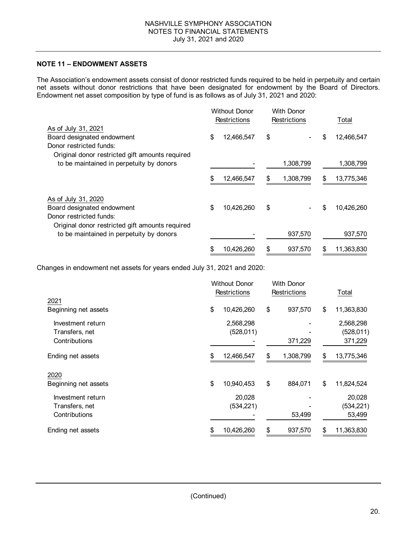# **NOTE 11 – ENDOWMENT ASSETS**

The Association's endowment assets consist of donor restricted funds required to be held in perpetuity and certain net assets without donor restrictions that have been designated for endowment by the Board of Directors. Endowment net asset composition by type of fund is as follows as of July 31, 2021 and 2020:

|                                                                                                                                 |    | <b>Without Donor</b><br>Restrictions |    | <b>With Donor</b><br>Restrictions | Total            |
|---------------------------------------------------------------------------------------------------------------------------------|----|--------------------------------------|----|-----------------------------------|------------------|
| As of July 31, 2021<br>Board designated endowment<br>Donor restricted funds:                                                    | \$ | 12,466,547                           | \$ |                                   | \$<br>12,466,547 |
| Original donor restricted gift amounts required<br>to be maintained in perpetuity by donors                                     |    |                                      |    | 1,308,799                         | 1,308,799        |
|                                                                                                                                 | \$ | 12,466,547                           | S  | 1,308,799                         | \$<br>13,775,346 |
| As of July 31, 2020<br>Board designated endowment<br>Donor restricted funds:<br>Original donor restricted gift amounts required | \$ | 10,426,260                           | \$ |                                   | \$<br>10,426,260 |
| to be maintained in perpetuity by donors                                                                                        |    |                                      |    | 937,570                           | 937,570          |
|                                                                                                                                 | S  | 10,426,260                           | S  | 937,570                           | \$<br>11,363,830 |

Changes in endowment net assets for years ended July 31, 2021 and 2020:

|                      | <b>Without Donor</b><br>Restrictions |            | <b>With Donor</b><br><b>Restrictions</b> |           |                  |
|----------------------|--------------------------------------|------------|------------------------------------------|-----------|------------------|
|                      |                                      |            |                                          |           | Total            |
| 2021                 |                                      |            |                                          |           |                  |
| Beginning net assets | \$                                   | 10,426,260 | \$                                       | 937,570   | \$<br>11,363,830 |
| Investment return    |                                      | 2,568,298  |                                          |           | 2,568,298        |
| Transfers, net       |                                      | (528, 011) |                                          |           | (528, 011)       |
| Contributions        |                                      |            |                                          | 371,229   | 371,229          |
| Ending net assets    | \$                                   | 12,466,547 | \$                                       | 1,308,799 | \$<br>13,775,346 |
| 2020                 |                                      |            |                                          |           |                  |
| Beginning net assets | \$                                   | 10,940,453 | \$                                       | 884,071   | \$<br>11,824,524 |
| Investment return    |                                      | 20,028     |                                          |           | 20,028           |
| Transfers, net       |                                      | (534, 221) |                                          |           | (534, 221)       |
| Contributions        |                                      |            |                                          | 53,499    | 53,499           |
| Ending net assets    | \$                                   | 10,426,260 | S                                        | 937,570   | \$<br>11,363,830 |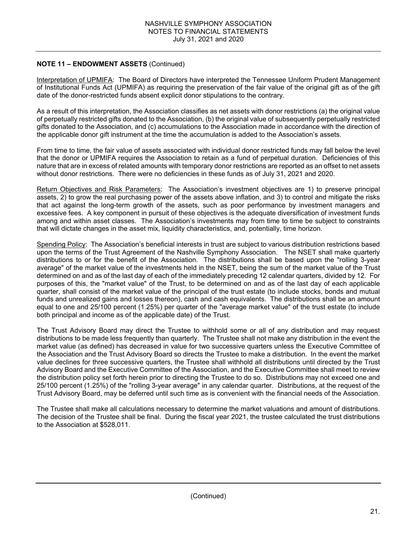### **NOTE 11 – ENDOWMENT ASSETS** (Continued)

Interpretation of UPMIFA: The Board of Directors have interpreted the Tennessee Uniform Prudent Management of Institutional Funds Act (UPMIFA) as requiring the preservation of the fair value of the original gift as of the gift date of the donor-restricted funds absent explicit donor stipulations to the contrary.

As a result of this interpretation, the Association classifies as net assets with donor restrictions (a) the original value of perpetually restricted gifts donated to the Association, (b) the original value of subsequently perpetually restricted gifts donated to the Association, and (c) accumulations to the Association made in accordance with the direction of the applicable donor gift instrument at the time the accumulation is added to the Association's assets.

From time to time, the fair value of assets associated with individual donor restricted funds may fall below the level that the donor or UPMIFA requires the Association to retain as a fund of perpetual duration. Deficiencies of this nature that are in excess of related amounts with temporary donor restrictions are reported as an offset to net assets without donor restrictions. There were no deficiencies in these funds as of July 31, 2021 and 2020.

Return Objectives and Risk Parameters: The Association's investment objectives are 1) to preserve principal assets, 2) to grow the real purchasing power of the assets above inflation, and 3) to control and mitigate the risks that act against the long-term growth of the assets, such as poor performance by investment managers and excessive fees. A key component in pursuit of these objectives is the adequate diversification of investment funds among and within asset classes. The Association's investments may from time to time be subject to constraints that will dictate changes in the asset mix, liquidity characteristics, and, potentially, time horizon.

Spending Policy: The Association's beneficial interests in trust are subject to various distribution restrictions based upon the terms of the Trust Agreement of the Nashville Symphony Association. The NSET shall make quarterly distributions to or for the benefit of the Association. The distributions shall be based upon the "rolling 3-year average" of the market value of the investments held in the NSET, being the sum of the market value of the Trust determined on and as of the last day of each of the immediately preceding 12 calendar quarters, divided by 12. For purposes of this, the "market value" of the Trust, to be determined on and as of the last day of each applicable quarter, shall consist of the market value of the principal of the trust estate (to include stocks, bonds and mutual funds and unrealized gains and losses thereon), cash and cash equivalents. The distributions shall be an amount equal to one and 25/100 percent (1.25%) per quarter of the "average market value" of the trust estate (to include both principal and income as of the applicable date) of the Trust.

The Trust Advisory Board may direct the Trustee to withhold some or all of any distribution and may request distributions to be made less frequently than quarterly. The Trustee shall not make any distribution in the event the market value (as defined) has decreased in value for two successive quarters unless the Executive Committee of the Association and the Trust Advisory Board so directs the Trustee to make a distribution. In the event the market value declines for three successive quarters, the Trustee shall withhold all distributions until directed by the Trust Advisory Board and the Executive Committee of the Association, and the Executive Committee shall meet to review the distribution policy set forth herein prior to directing the Trustee to do so. Distributions may not exceed one and 25/100 percent (1.25%) of the "rolling 3-year average" in any calendar quarter. Distributions, at the request of the Trust Advisory Board, may be deferred until such time as is convenient with the financial needs of the Association.

The Trustee shall make all calculations necessary to determine the market valuations and amount of distributions. The decision of the Trustee shall be final. During the fiscal year 2021, the trustee calculated the trust distributions to the Association at \$528,011.